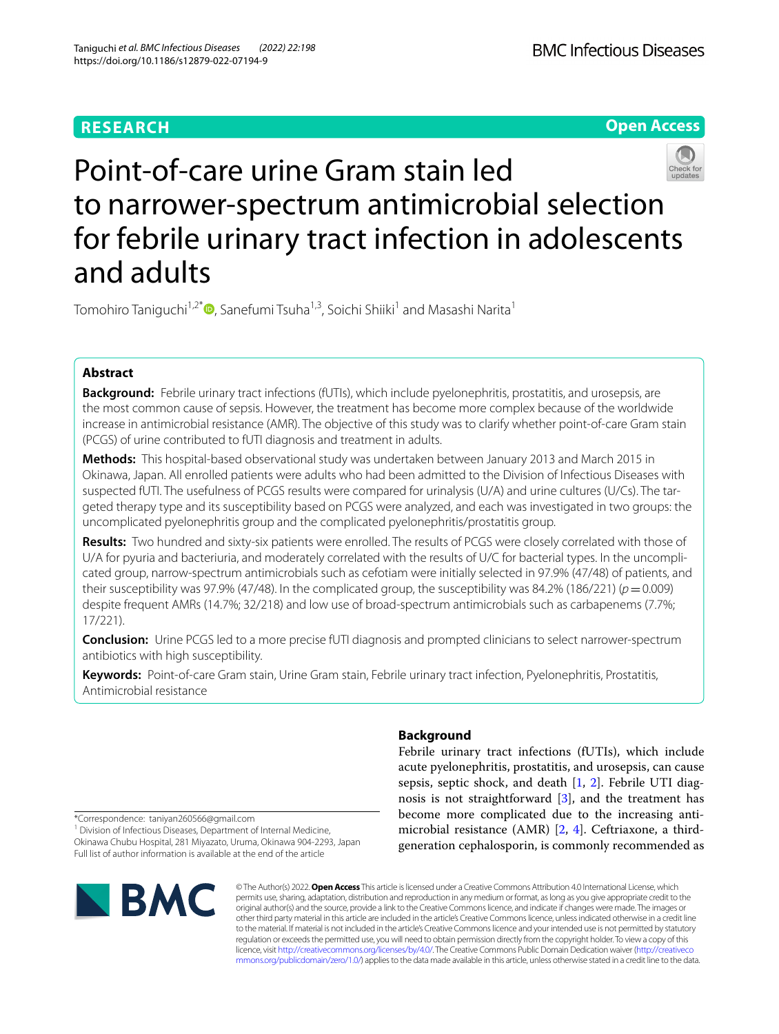# **RESEARCH**

**Open Access**

# Point-of-care urine Gram stain led to narrower-spectrum antimicrobial selection for febrile urinary tract infection in adolescents and adults

Tomohiro Taniguchi<sup>1,2\*</sup> [,](http://orcid.org/0000-0001-6392-3767) Sanefumi Tsuha<sup>1,3</sup>, Soichi Shiiki<sup>1</sup> and Masashi Narita<sup>1</sup>

# **Abstract**

**Background:** Febrile urinary tract infections (fUTIs), which include pyelonephritis, prostatitis, and urosepsis, are the most common cause of sepsis. However, the treatment has become more complex because of the worldwide increase in antimicrobial resistance (AMR). The objective of this study was to clarify whether point-of-care Gram stain (PCGS) of urine contributed to fUTI diagnosis and treatment in adults.

**Methods:** This hospital-based observational study was undertaken between January 2013 and March 2015 in Okinawa, Japan. All enrolled patients were adults who had been admitted to the Division of Infectious Diseases with suspected fUTI. The usefulness of PCGS results were compared for urinalysis (U/A) and urine cultures (U/Cs). The targeted therapy type and its susceptibility based on PCGS were analyzed, and each was investigated in two groups: the uncomplicated pyelonephritis group and the complicated pyelonephritis/prostatitis group.

**Results:** Two hundred and sixty-six patients were enrolled. The results of PCGS were closely correlated with those of U/A for pyuria and bacteriuria, and moderately correlated with the results of U/C for bacterial types. In the uncomplicated group, narrow-spectrum antimicrobials such as cefotiam were initially selected in 97.9% (47/48) of patients, and their susceptibility was 97.9% (47/48). In the complicated group, the susceptibility was 84.2% (186/221) ( $p=0.009$ ) despite frequent AMRs (14.7%; 32/218) and low use of broad-spectrum antimicrobials such as carbapenems (7.7%; 17/221).

**Conclusion:** Urine PCGS led to a more precise fUTI diagnosis and prompted clinicians to select narrower-spectrum antibiotics with high susceptibility.

**Keywords:** Point-of-care Gram stain, Urine Gram stain, Febrile urinary tract infection, Pyelonephritis, Prostatitis, Antimicrobial resistance

# **Background**

Febrile urinary tract infections (fUTIs), which include acute pyelonephritis, prostatitis, and urosepsis, can cause sepsis, septic shock, and death [[1,](#page-10-0) [2](#page-10-1)]. Febrile UTI diagnosis is not straightforward [\[3](#page-10-2)], and the treatment has become more complicated due to the increasing antimicrobial resistance (AMR) [\[2](#page-10-1), [4](#page-10-3)]. Ceftriaxone, a thirdgeneration cephalosporin, is commonly recommended as

\*Correspondence: taniyan260566@gmail.com

<sup>1</sup> Division of Infectious Diseases, Department of Internal Medicine, Okinawa Chubu Hospital, 281 Miyazato, Uruma, Okinawa 904-2293, Japan Full list of author information is available at the end of the article



© The Author(s) 2022. **Open Access** This article is licensed under a Creative Commons Attribution 4.0 International License, which permits use, sharing, adaptation, distribution and reproduction in any medium or format, as long as you give appropriate credit to the original author(s) and the source, provide a link to the Creative Commons licence, and indicate if changes were made. The images or other third party material in this article are included in the article's Creative Commons licence, unless indicated otherwise in a credit line to the material. If material is not included in the article's Creative Commons licence and your intended use is not permitted by statutory regulation or exceeds the permitted use, you will need to obtain permission directly from the copyright holder. To view a copy of this licence, visit [http://creativecommons.org/licenses/by/4.0/.](http://creativecommons.org/licenses/by/4.0/) The Creative Commons Public Domain Dedication waiver ([http://creativeco](http://creativecommons.org/publicdomain/zero/1.0/) [mmons.org/publicdomain/zero/1.0/](http://creativecommons.org/publicdomain/zero/1.0/)) applies to the data made available in this article, unless otherwise stated in a credit line to the data.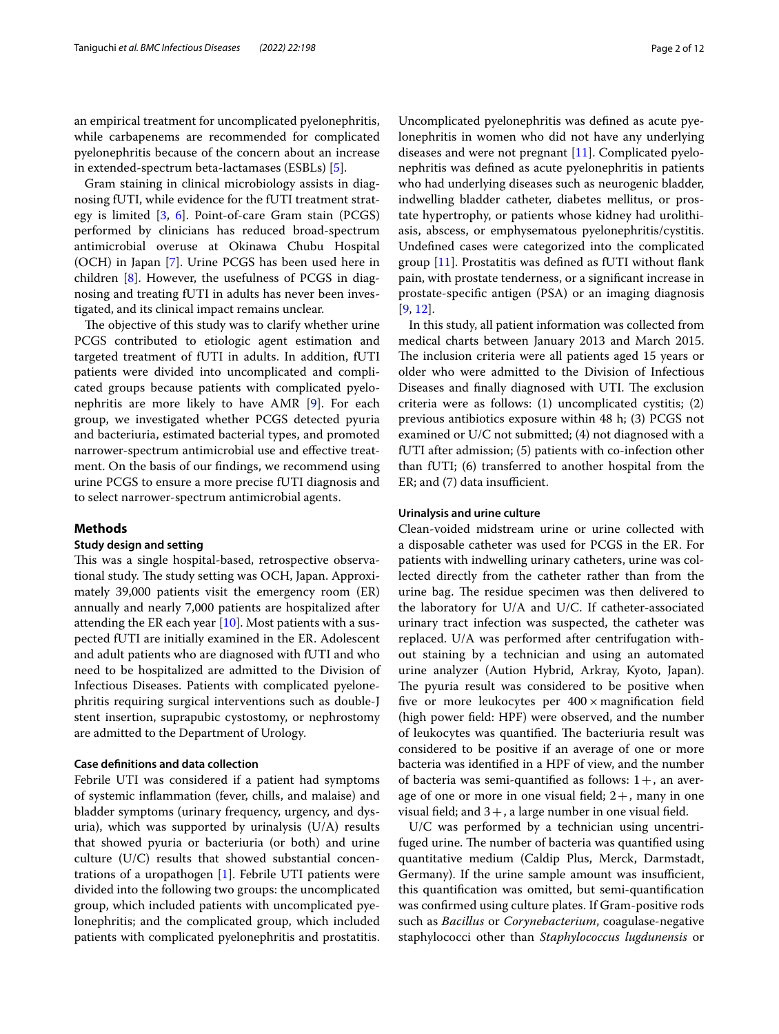an empirical treatment for uncomplicated pyelonephritis, while carbapenems are recommended for complicated pyelonephritis because of the concern about an increase in extended-spectrum beta-lactamases (ESBLs) [\[5\]](#page-10-4).

Gram staining in clinical microbiology assists in diagnosing fUTI, while evidence for the fUTI treatment strategy is limited [[3](#page-10-2), [6](#page-10-5)]. Point-of-care Gram stain (PCGS) performed by clinicians has reduced broad-spectrum antimicrobial overuse at Okinawa Chubu Hospital (OCH) in Japan [[7](#page-10-6)]. Urine PCGS has been used here in children [[8\]](#page-10-7). However, the usefulness of PCGS in diagnosing and treating fUTI in adults has never been investigated, and its clinical impact remains unclear.

The objective of this study was to clarify whether urine PCGS contributed to etiologic agent estimation and targeted treatment of fUTI in adults. In addition, fUTI patients were divided into uncomplicated and complicated groups because patients with complicated pyelonephritis are more likely to have AMR [\[9](#page-10-8)]. For each group, we investigated whether PCGS detected pyuria and bacteriuria, estimated bacterial types, and promoted narrower-spectrum antimicrobial use and efective treatment. On the basis of our fndings, we recommend using urine PCGS to ensure a more precise fUTI diagnosis and to select narrower-spectrum antimicrobial agents.

## **Methods**

## **Study design and setting**

This was a single hospital-based, retrospective observational study. The study setting was OCH, Japan. Approximately 39,000 patients visit the emergency room (ER) annually and nearly 7,000 patients are hospitalized after attending the ER each year [[10](#page-10-9)]. Most patients with a suspected fUTI are initially examined in the ER. Adolescent and adult patients who are diagnosed with fUTI and who need to be hospitalized are admitted to the Division of Infectious Diseases. Patients with complicated pyelonephritis requiring surgical interventions such as double-J stent insertion, suprapubic cystostomy, or nephrostomy are admitted to the Department of Urology.

## **Case defnitions and data collection**

Febrile UTI was considered if a patient had symptoms of systemic infammation (fever, chills, and malaise) and bladder symptoms (urinary frequency, urgency, and dysuria), which was supported by urinalysis (U/A) results that showed pyuria or bacteriuria (or both) and urine culture (U/C) results that showed substantial concentrations of a uropathogen [[1\]](#page-10-0). Febrile UTI patients were divided into the following two groups: the uncomplicated group, which included patients with uncomplicated pyelonephritis; and the complicated group, which included patients with complicated pyelonephritis and prostatitis. Uncomplicated pyelonephritis was defned as acute pyelonephritis in women who did not have any underlying diseases and were not pregnant [\[11\]](#page-11-0). Complicated pyelonephritis was defned as acute pyelonephritis in patients who had underlying diseases such as neurogenic bladder, indwelling bladder catheter, diabetes mellitus, or prostate hypertrophy, or patients whose kidney had urolithiasis, abscess, or emphysematous pyelonephritis/cystitis. Undefned cases were categorized into the complicated group [\[11\]](#page-11-0). Prostatitis was defned as fUTI without fank pain, with prostate tenderness, or a signifcant increase in prostate-specifc antigen (PSA) or an imaging diagnosis [[9,](#page-10-8) [12](#page-11-1)].

In this study, all patient information was collected from medical charts between January 2013 and March 2015. The inclusion criteria were all patients aged 15 years or older who were admitted to the Division of Infectious Diseases and finally diagnosed with UTI. The exclusion criteria were as follows: (1) uncomplicated cystitis; (2) previous antibiotics exposure within 48 h; (3) PCGS not examined or U/C not submitted; (4) not diagnosed with a fUTI after admission; (5) patients with co-infection other than fUTI; (6) transferred to another hospital from the  $ER$ ; and  $(7)$  data insufficient.

## **Urinalysis and urine culture**

Clean-voided midstream urine or urine collected with a disposable catheter was used for PCGS in the ER. For patients with indwelling urinary catheters, urine was collected directly from the catheter rather than from the urine bag. The residue specimen was then delivered to the laboratory for U/A and U/C. If catheter-associated urinary tract infection was suspected, the catheter was replaced. U/A was performed after centrifugation without staining by a technician and using an automated urine analyzer (Aution Hybrid, Arkray, Kyoto, Japan). The pyuria result was considered to be positive when five or more leukocytes per  $400 \times$  magnification field (high power feld: HPF) were observed, and the number of leukocytes was quantified. The bacteriuria result was considered to be positive if an average of one or more bacteria was identifed in a HPF of view, and the number of bacteria was semi-quantified as follows:  $1+$ , an average of one or more in one visual field;  $2+$ , many in one visual field; and  $3+$ , a large number in one visual field.

U/C was performed by a technician using uncentrifuged urine. The number of bacteria was quantified using quantitative medium (Caldip Plus, Merck, Darmstadt, Germany). If the urine sample amount was insufficient, this quantifcation was omitted, but semi-quantifcation was confrmed using culture plates. If Gram-positive rods such as *Bacillus* or *Corynebacterium*, coagulase-negative staphylococci other than *Staphylococcus lugdunensis* or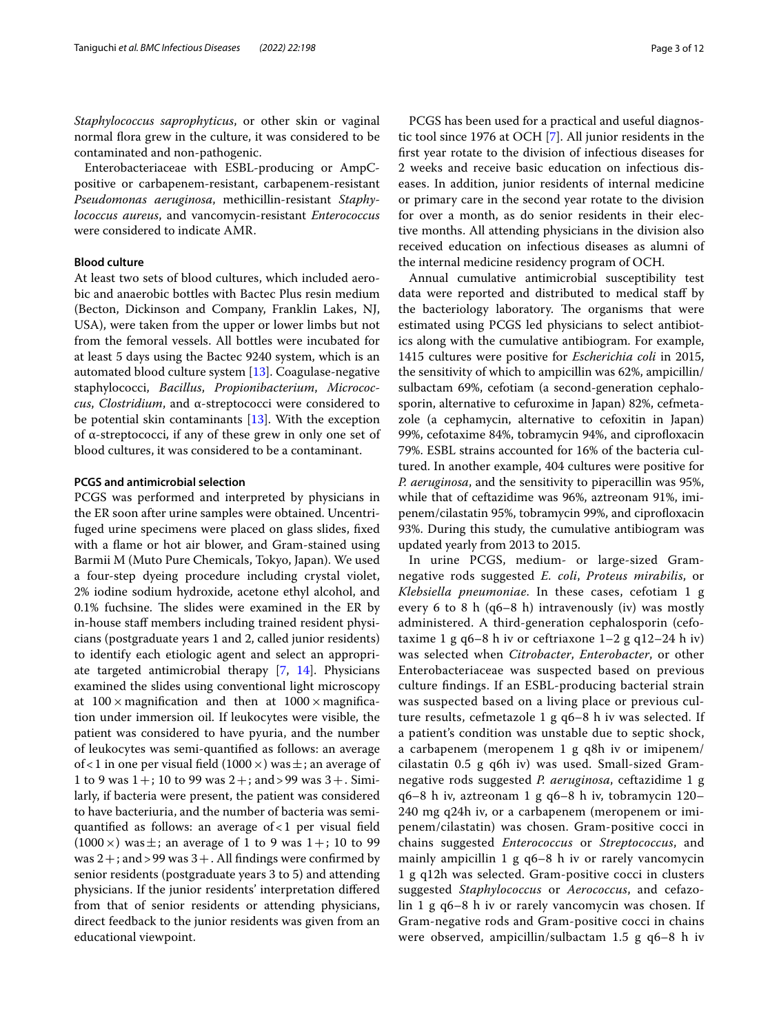*Staphylococcus saprophyticus*, or other skin or vaginal normal flora grew in the culture, it was considered to be contaminated and non-pathogenic.

Enterobacteriaceae with ESBL-producing or AmpCpositive or carbapenem-resistant, carbapenem-resistant *Pseudomonas aeruginosa*, methicillin-resistant *Staphylococcus aureus*, and vancomycin-resistant *Enterococcus* were considered to indicate AMR.

## **Blood culture**

At least two sets of blood cultures, which included aerobic and anaerobic bottles with Bactec Plus resin medium (Becton, Dickinson and Company, Franklin Lakes, NJ, USA), were taken from the upper or lower limbs but not from the femoral vessels. All bottles were incubated for at least 5 days using the Bactec 9240 system, which is an automated blood culture system [\[13](#page-11-2)]. Coagulase-negative staphylococci, *Bacillus*, *Propionibacterium*, *Micrococcus*, *Clostridium*, and α-streptococci were considered to be potential skin contaminants [\[13\]](#page-11-2). With the exception of α-streptococci, if any of these grew in only one set of blood cultures, it was considered to be a contaminant.

## **PCGS and antimicrobial selection**

PCGS was performed and interpreted by physicians in the ER soon after urine samples were obtained. Uncentrifuged urine specimens were placed on glass slides, fxed with a fame or hot air blower, and Gram-stained using Barmii M (Muto Pure Chemicals, Tokyo, Japan). We used a four-step dyeing procedure including crystal violet, 2% iodine sodium hydroxide, acetone ethyl alcohol, and  $0.1\%$  fuchsine. The slides were examined in the ER by in-house staff members including trained resident physicians (postgraduate years 1 and 2, called junior residents) to identify each etiologic agent and select an appropriate targeted antimicrobial therapy [\[7](#page-10-6), [14\]](#page-11-3). Physicians examined the slides using conventional light microscopy at  $100 \times$  magnification and then at  $1000 \times$  magnification under immersion oil. If leukocytes were visible, the patient was considered to have pyuria, and the number of leukocytes was semi-quantifed as follows: an average of < 1 in one per visual field (1000  $\times$ ) was  $\pm$ ; an average of 1 to 9 was  $1+$ ; 10 to 99 was  $2+$ ; and > 99 was  $3+$ . Similarly, if bacteria were present, the patient was considered to have bacteriuria, and the number of bacteria was semiquantified as follows: an average of  $< 1$  per visual field  $(1000 \times)$  was  $\pm$ ; an average of 1 to 9 was 1+; 10 to 99 was  $2+$ ; and > 99 was  $3+$ . All findings were confirmed by senior residents (postgraduate years 3 to 5) and attending physicians. If the junior residents' interpretation difered from that of senior residents or attending physicians, direct feedback to the junior residents was given from an educational viewpoint.

PCGS has been used for a practical and useful diagnostic tool since 1976 at OCH [\[7](#page-10-6)]. All junior residents in the frst year rotate to the division of infectious diseases for 2 weeks and receive basic education on infectious diseases. In addition, junior residents of internal medicine or primary care in the second year rotate to the division for over a month, as do senior residents in their elective months. All attending physicians in the division also received education on infectious diseases as alumni of the internal medicine residency program of OCH.

Annual cumulative antimicrobial susceptibility test data were reported and distributed to medical staf by the bacteriology laboratory. The organisms that were estimated using PCGS led physicians to select antibiotics along with the cumulative antibiogram. For example, 1415 cultures were positive for *Escherichia coli* in 2015, the sensitivity of which to ampicillin was 62%, ampicillin/ sulbactam 69%, cefotiam (a second-generation cephalosporin, alternative to cefuroxime in Japan) 82%, cefmetazole (a cephamycin, alternative to cefoxitin in Japan) 99%, cefotaxime 84%, tobramycin 94%, and ciprofloxacin 79%. ESBL strains accounted for 16% of the bacteria cultured. In another example, 404 cultures were positive for *P. aeruginosa*, and the sensitivity to piperacillin was 95%, while that of ceftazidime was 96%, aztreonam 91%, imipenem/cilastatin 95%, tobramycin 99%, and ciprofloxacin 93%. During this study, the cumulative antibiogram was updated yearly from 2013 to 2015.

In urine PCGS, medium- or large-sized Gramnegative rods suggested *E. coli*, *Proteus mirabilis*, or *Klebsiella pneumoniae*. In these cases, cefotiam 1 g every 6 to 8  $h$  (q6–8  $h$ ) intravenously (iv) was mostly administered. A third-generation cephalosporin (cefotaxime 1 g q6–8 h iv or ceftriaxone  $1-2$  g q $12-24$  h iv) was selected when *Citrobacter*, *Enterobacter*, or other Enterobacteriaceae was suspected based on previous culture fndings. If an ESBL-producing bacterial strain was suspected based on a living place or previous culture results, cefmetazole 1 g q6–8 h iv was selected. If a patient's condition was unstable due to septic shock, a carbapenem (meropenem 1 g q8h iv or imipenem/ cilastatin 0.5 g q6h iv) was used. Small-sized Gramnegative rods suggested *P. aeruginosa*, ceftazidime 1 g q6–8 h iv, aztreonam 1 g q6–8 h iv, tobramycin 120– 240 mg q24h iv, or a carbapenem (meropenem or imipenem/cilastatin) was chosen. Gram-positive cocci in chains suggested *Enterococcus* or *Streptococcus*, and mainly ampicillin 1 g q6-8 h iv or rarely vancomycin 1 g q12h was selected. Gram-positive cocci in clusters suggested *Staphylococcus* or *Aerococcus*, and cefazolin 1 g q6–8 h iv or rarely vancomycin was chosen. If Gram-negative rods and Gram-positive cocci in chains were observed, ampicillin/sulbactam 1.5 g q6-8 h iv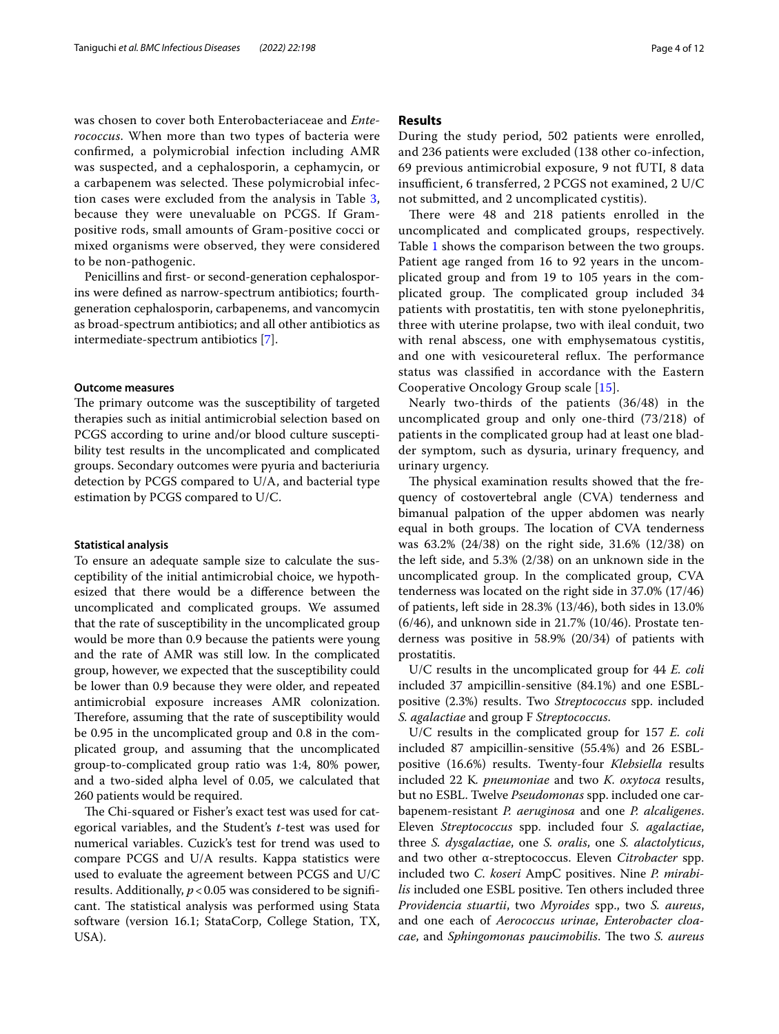was chosen to cover both Enterobacteriaceae and *Enterococcus*. When more than two types of bacteria were confrmed, a polymicrobial infection including AMR was suspected, and a cephalosporin, a cephamycin, or a carbapenem was selected. These polymicrobial infection cases were excluded from the analysis in Table [3](#page-7-0), because they were unevaluable on PCGS. If Grampositive rods, small amounts of Gram-positive cocci or mixed organisms were observed, they were considered to be non-pathogenic.

Penicillins and frst- or second-generation cephalosporins were defned as narrow-spectrum antibiotics; fourthgeneration cephalosporin, carbapenems, and vancomycin as broad-spectrum antibiotics; and all other antibiotics as intermediate-spectrum antibiotics [\[7](#page-10-6)].

### **Outcome measures**

The primary outcome was the susceptibility of targeted therapies such as initial antimicrobial selection based on PCGS according to urine and/or blood culture susceptibility test results in the uncomplicated and complicated groups. Secondary outcomes were pyuria and bacteriuria detection by PCGS compared to U/A, and bacterial type estimation by PCGS compared to U/C.

## **Statistical analysis**

To ensure an adequate sample size to calculate the susceptibility of the initial antimicrobial choice, we hypothesized that there would be a diference between the uncomplicated and complicated groups. We assumed that the rate of susceptibility in the uncomplicated group would be more than 0.9 because the patients were young and the rate of AMR was still low. In the complicated group, however, we expected that the susceptibility could be lower than 0.9 because they were older, and repeated antimicrobial exposure increases AMR colonization. Therefore, assuming that the rate of susceptibility would be 0.95 in the uncomplicated group and 0.8 in the complicated group, and assuming that the uncomplicated group-to-complicated group ratio was 1:4, 80% power, and a two-sided alpha level of 0.05, we calculated that 260 patients would be required.

The Chi-squared or Fisher's exact test was used for categorical variables, and the Student's *t*-test was used for numerical variables. Cuzick's test for trend was used to compare PCGS and U/A results. Kappa statistics were used to evaluate the agreement between PCGS and U/C results. Additionally,  $p < 0.05$  was considered to be significant. The statistical analysis was performed using Stata software (version 16.1; StataCorp, College Station, TX, USA).

## **Results**

During the study period, 502 patients were enrolled, and 236 patients were excluded (138 other co-infection, 69 previous antimicrobial exposure, 9 not fUTI, 8 data insufficient, 6 transferred, 2 PCGS not examined, 2 U/C not submitted, and 2 uncomplicated cystitis).

There were 48 and 218 patients enrolled in the uncomplicated and complicated groups, respectively. Table [1](#page-4-0) shows the comparison between the two groups. Patient age ranged from 16 to 92 years in the uncomplicated group and from 19 to 105 years in the complicated group. The complicated group included 34 patients with prostatitis, ten with stone pyelonephritis, three with uterine prolapse, two with ileal conduit, two with renal abscess, one with emphysematous cystitis, and one with vesicoureteral reflux. The performance status was classifed in accordance with the Eastern Cooperative Oncology Group scale [\[15](#page-11-4)].

Nearly two-thirds of the patients (36/48) in the uncomplicated group and only one-third (73/218) of patients in the complicated group had at least one bladder symptom, such as dysuria, urinary frequency, and urinary urgency.

The physical examination results showed that the frequency of costovertebral angle (CVA) tenderness and bimanual palpation of the upper abdomen was nearly equal in both groups. The location of CVA tenderness was 63.2% (24/38) on the right side, 31.6% (12/38) on the left side, and 5.3% (2/38) on an unknown side in the uncomplicated group. In the complicated group, CVA tenderness was located on the right side in 37.0% (17/46) of patients, left side in 28.3% (13/46), both sides in 13.0% (6/46), and unknown side in 21.7% (10/46). Prostate tenderness was positive in 58.9% (20/34) of patients with prostatitis.

U/C results in the uncomplicated group for 44 *E. coli* included 37 ampicillin-sensitive (84.1%) and one ESBLpositive (2.3%) results. Two *Streptococcus* spp. included *S. agalactiae* and group F *Streptococcus*.

U/C results in the complicated group for 157 *E. coli* included 87 ampicillin-sensitive (55.4%) and 26 ESBLpositive (16.6%) results. Twenty-four *Klebsiella* results included 22 K*. pneumoniae* and two *K. oxytoca* results, but no ESBL. Twelve *Pseudomonas* spp. included one carbapenem-resistant *P. aeruginosa* and one *P. alcaligenes*. Eleven *Streptococcus* spp. included four *S. agalactiae*, three *S. dysgalactiae*, one *S. oralis*, one *S. alactolyticus*, and two other α-streptococcus. Eleven *Citrobacter* spp. included two *C. koseri* AmpC positives. Nine *P. mirabilis* included one ESBL positive. Ten others included three *Providencia stuartii*, two *Myroides* spp., two *S. aureus*, and one each of *Aerococcus urinae*, *Enterobacter cloacae*, and *Sphingomonas paucimobilis*. The two *S. aureus*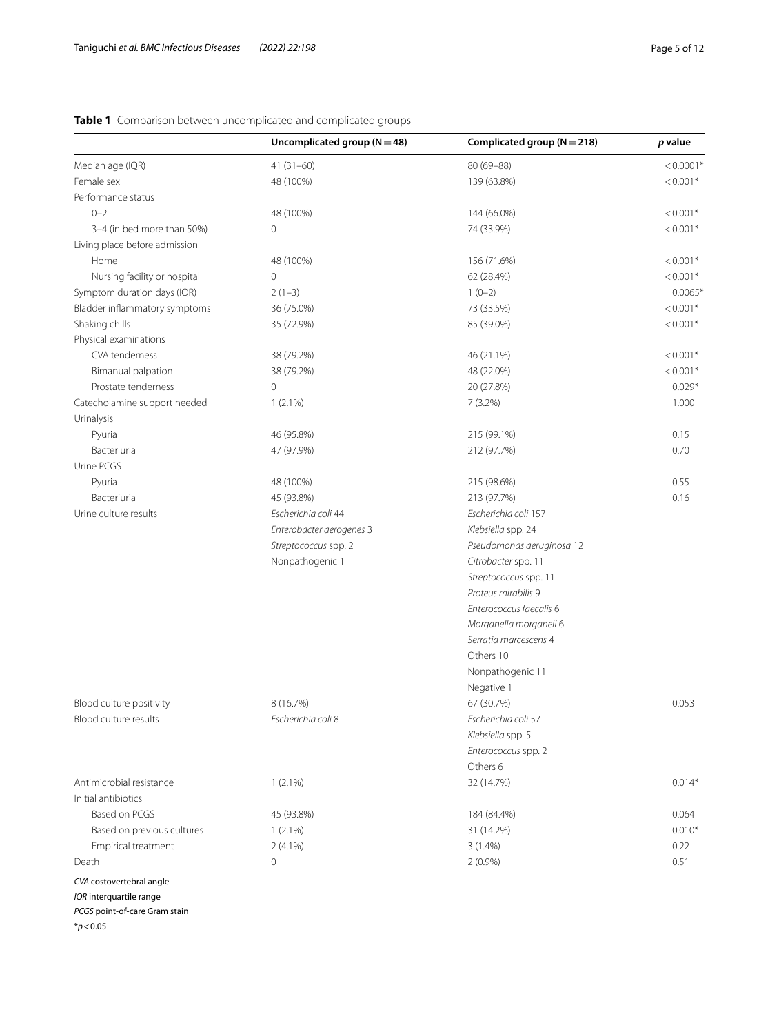|                               | Uncomplicated group ( $N = 48$ ) | Complicated group ( $N = 218$ ) | p value     |
|-------------------------------|----------------------------------|---------------------------------|-------------|
| Median age (IQR)              | $41(31 - 60)$                    | $80(69 - 88)$                   | $< 0.0001*$ |
| Female sex                    | 48 (100%)                        | 139 (63.8%)                     | $< 0.001*$  |
| Performance status            |                                  |                                 |             |
| $0 - 2$                       | 48 (100%)                        | 144 (66.0%)                     | $< 0.001*$  |
| 3-4 (in bed more than 50%)    | 0                                | 74 (33.9%)                      | $< 0.001*$  |
| Living place before admission |                                  |                                 |             |
| Home                          | 48 (100%)                        | 156 (71.6%)                     | $< 0.001*$  |
| Nursing facility or hospital  | 0                                | 62 (28.4%)                      | $< 0.001*$  |
| Symptom duration days (IQR)   | $2(1-3)$                         | $1(0-2)$                        | $0.0065*$   |
| Bladder inflammatory symptoms | 36 (75.0%)                       | 73 (33.5%)                      | $< 0.001*$  |
| Shaking chills                | 35 (72.9%)                       | 85 (39.0%)                      | $< 0.001*$  |
| Physical examinations         |                                  |                                 |             |
| CVA tenderness                | 38 (79.2%)                       | 46 (21.1%)                      | $< 0.001*$  |
| Bimanual palpation            | 38 (79.2%)                       | 48 (22.0%)                      | $< 0.001*$  |
| Prostate tenderness           | 0                                | 20 (27.8%)                      | $0.029*$    |
| Catecholamine support needed  | $1(2.1\%)$                       | $7(3.2\%)$                      | 1.000       |
| Urinalysis                    |                                  |                                 |             |
| Pyuria                        | 46 (95.8%)                       | 215 (99.1%)                     | 0.15        |
| Bacteriuria                   | 47 (97.9%)                       | 212 (97.7%)                     | 0.70        |
| Urine PCGS                    |                                  |                                 |             |
| Pyuria                        | 48 (100%)                        | 215 (98.6%)                     | 0.55        |
| Bacteriuria                   | 45 (93.8%)                       | 213 (97.7%)                     | 0.16        |
| Urine culture results         | Escherichia coli 44              | Escherichia coli 157            |             |
|                               | Enterobacter aerogenes 3         | Klebsiella spp. 24              |             |
|                               | Streptococcus spp. 2             | Pseudomonas aeruginosa 12       |             |
|                               | Nonpathogenic 1                  | Citrobacter spp. 11             |             |
|                               |                                  | Streptococcus spp. 11           |             |
|                               |                                  | Proteus mirabilis 9             |             |
|                               |                                  | Enterococcus faecalis 6         |             |
|                               |                                  | Morganella morganeii 6          |             |
|                               |                                  | Serratia marcescens 4           |             |
|                               |                                  | Others 10                       |             |
|                               |                                  | Nonpathogenic 11                |             |
|                               |                                  | Negative 1                      |             |
| Blood culture positivity      | 8 (16.7%)                        | 67 (30.7%)                      | 0.053       |
| Blood culture results         | Escherichia coli 8               | Escherichia coli 57             |             |
|                               |                                  | Klebsiella spp. 5               |             |
|                               |                                  | Enterococcus spp. 2             |             |
|                               |                                  | Others 6                        |             |
| Antimicrobial resistance      | $1(2.1\%)$                       | 32 (14.7%)                      | $0.014*$    |
| Initial antibiotics           |                                  |                                 |             |
| Based on PCGS                 | 45 (93.8%)                       | 184 (84.4%)                     | 0.064       |
| Based on previous cultures    | $1(2.1\%)$                       | 31 (14.2%)                      | $0.010*$    |
| Empirical treatment           | $2(4.1\%)$                       | $3(1.4\%)$                      | 0.22        |
| Death                         | 0                                | $2(0.9\%)$                      | 0.51        |

## <span id="page-4-0"></span>**Table 1** Comparison between uncomplicated and complicated groups

*CVA* costovertebral angle

*IQR* interquartile range

*PCGS* point-of-care Gram stain

\**p*<0.05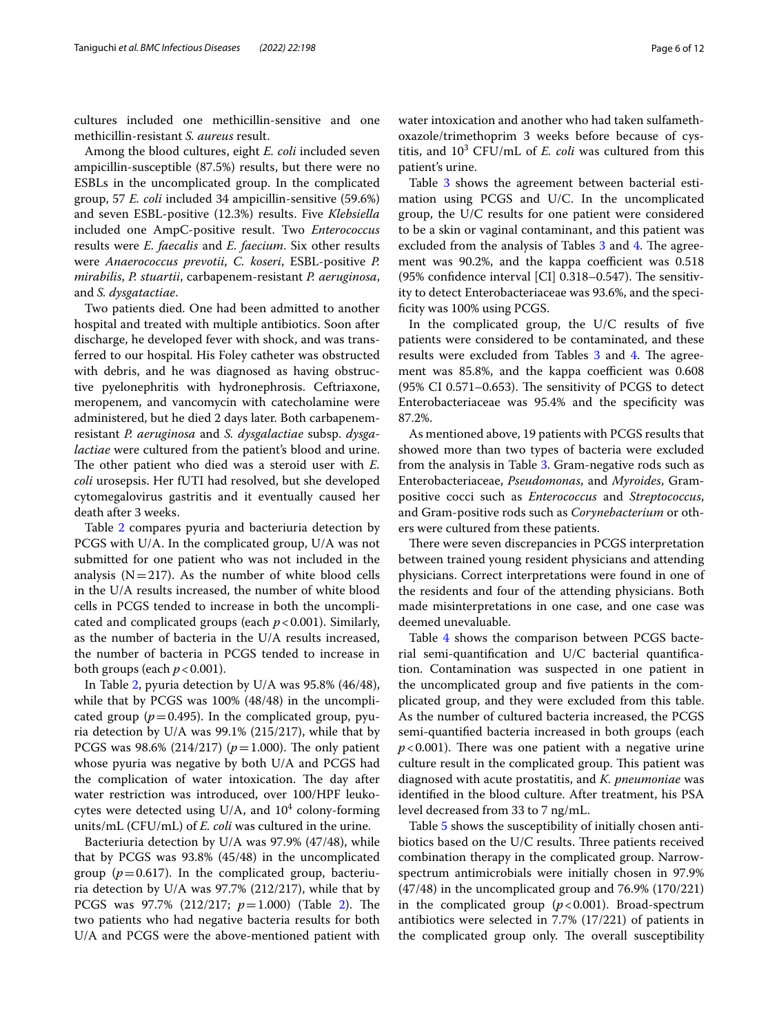cultures included one methicillin-sensitive and one methicillin-resistant *S. aureus* result.

Among the blood cultures, eight *E. coli* included seven ampicillin-susceptible (87.5%) results, but there were no ESBLs in the uncomplicated group. In the complicated group, 57 *E. coli* included 34 ampicillin-sensitive (59.6%) and seven ESBL-positive (12.3%) results. Five *Klebsiella* included one AmpC-positive result. Two *Enterococcus* results were *E. faecalis* and *E. faecium*. Six other results were *Anaerococcus prevotii*, *C. koseri*, ESBL-positive *P. mirabilis*, *P. stuartii*, carbapenem-resistant *P. aeruginosa*, and *S. dysgatactiae*.

Two patients died. One had been admitted to another hospital and treated with multiple antibiotics. Soon after discharge, he developed fever with shock, and was transferred to our hospital. His Foley catheter was obstructed with debris, and he was diagnosed as having obstructive pyelonephritis with hydronephrosis. Ceftriaxone, meropenem, and vancomycin with catecholamine were administered, but he died 2 days later. Both carbapenemresistant *P. aeruginosa* and *S. dysgalactiae* subsp. *dysgalactiae* were cultured from the patient's blood and urine. The other patient who died was a steroid user with *E*. *coli* urosepsis. Her fUTI had resolved, but she developed cytomegalovirus gastritis and it eventually caused her death after 3 weeks.

Table [2](#page-6-0) compares pyuria and bacteriuria detection by PCGS with U/A. In the complicated group, U/A was not submitted for one patient who was not included in the analysis ( $N=217$ ). As the number of white blood cells in the U/A results increased, the number of white blood cells in PCGS tended to increase in both the uncomplicated and complicated groups (each *p*<0.001). Similarly, as the number of bacteria in the U/A results increased, the number of bacteria in PCGS tended to increase in both groups (each  $p < 0.001$ ).

In Table [2](#page-6-0), pyuria detection by U/A was 95.8% (46/48), while that by PCGS was 100% (48/48) in the uncomplicated group ( $p=0.495$ ). In the complicated group, pyuria detection by U/A was 99.1% (215/217), while that by PCGS was 98.6% (214/217) ( $p = 1.000$ ). The only patient whose pyuria was negative by both U/A and PCGS had the complication of water intoxication. The day after water restriction was introduced, over 100/HPF leukocytes were detected using U/A, and  $10^4$  colony-forming units/mL (CFU/mL) of *E. coli* was cultured in the urine.

Bacteriuria detection by U/A was 97.9% (47/48), while that by PCGS was 93.8% (45/48) in the uncomplicated group ( $p=0.617$ ). In the complicated group, bacteriuria detection by U/A was 97.7% (212/217), while that by PCGS was 97.7% ([2](#page-6-0)12/217;  $p=1.000$ ) (Table 2). The two patients who had negative bacteria results for both U/A and PCGS were the above-mentioned patient with water intoxication and another who had taken sulfamethoxazole/trimethoprim 3 weeks before because of cystitis, and  $10^3$  CFU/mL of *E. coli* was cultured from this patient's urine.

Table [3](#page-7-0) shows the agreement between bacterial estimation using PCGS and U/C. In the uncomplicated group, the U/C results for one patient were considered to be a skin or vaginal contaminant, and this patient was excluded from the analysis of Tables [3](#page-7-0) and [4](#page-8-0). The agreement was 90.2%, and the kappa coefficient was 0.518 (95% confidence interval [CI]  $0.318-0.547$ ). The sensitivity to detect Enterobacteriaceae was 93.6%, and the specificity was 100% using PCGS.

In the complicated group, the U/C results of fve patients were considered to be contaminated, and these results were excluded from Tables [3](#page-7-0) and [4](#page-8-0). The agreement was 85.8%, and the kappa coefficient was 0.608  $(95\% \text{ CI } 0.571 - 0.653)$ . The sensitivity of PCGS to detect Enterobacteriaceae was 95.4% and the specifcity was 87.2%.

As mentioned above, 19 patients with PCGS results that showed more than two types of bacteria were excluded from the analysis in Table [3.](#page-7-0) Gram-negative rods such as Enterobacteriaceae, *Pseudomonas*, and *Myroides*, Grampositive cocci such as *Enterococcus* and *Streptococcus*, and Gram-positive rods such as *Corynebacterium* or others were cultured from these patients.

There were seven discrepancies in PCGS interpretation between trained young resident physicians and attending physicians. Correct interpretations were found in one of the residents and four of the attending physicians. Both made misinterpretations in one case, and one case was deemed unevaluable.

Table [4](#page-8-0) shows the comparison between PCGS bacterial semi-quantifcation and U/C bacterial quantifcation. Contamination was suspected in one patient in the uncomplicated group and fve patients in the complicated group, and they were excluded from this table. As the number of cultured bacteria increased, the PCGS semi-quantifed bacteria increased in both groups (each  $p$ <0.001). There was one patient with a negative urine culture result in the complicated group. This patient was diagnosed with acute prostatitis, and *K. pneumoniae* was identifed in the blood culture. After treatment, his PSA level decreased from 33 to 7 ng/mL.

Table [5](#page-8-1) shows the susceptibility of initially chosen antibiotics based on the  $U/C$  results. Three patients received combination therapy in the complicated group. Narrowspectrum antimicrobials were initially chosen in 97.9% (47/48) in the uncomplicated group and 76.9% (170/221) in the complicated group  $(p<0.001)$ . Broad-spectrum antibiotics were selected in 7.7% (17/221) of patients in the complicated group only. The overall susceptibility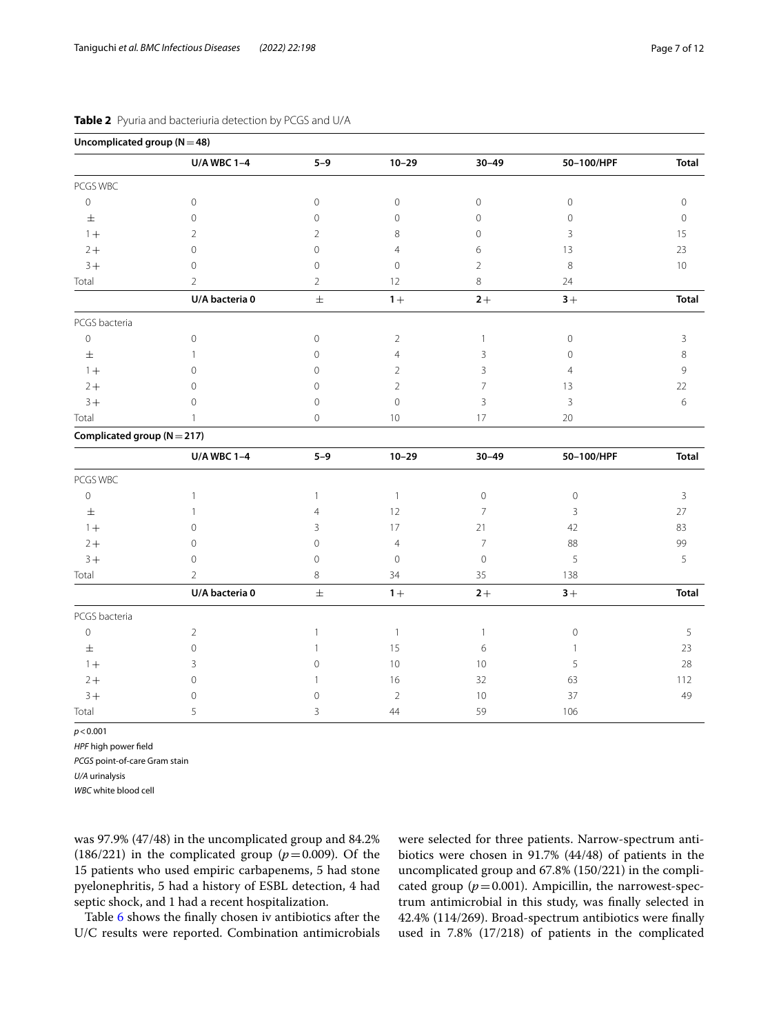| Uncomplicated group $(N=48)$    |                    |                |                |                     |                     |                |
|---------------------------------|--------------------|----------------|----------------|---------------------|---------------------|----------------|
|                                 | <b>U/A WBC 1-4</b> | $5 - 9$        | $10 - 29$      | $30 - 49$           | 50-100/HPF          | <b>Total</b>   |
| PCGS WBC                        |                    |                |                |                     |                     |                |
| $\mathbb O$                     | $\mathbb O$        | $\mathbf 0$    | $\mathbf 0$    | $\mathsf{O}\xspace$ | $\mathbb O$         | $\circ$        |
| $\pm$                           | $\mathbf 0$        | $\mathbf 0$    | $\circ$        | $\mathbf 0$         | $\mathbf 0$         | $\circ$        |
| $1+$                            | $\overline{2}$     | $\overline{2}$ | 8              | $\mathbf 0$         | 3                   | 15             |
| $2+$                            | $\mathbf{0}$       | $\Omega$       | $\overline{4}$ | 6                   | 13                  | 23             |
| $3+$                            | $\overline{0}$     | $\overline{0}$ | $\overline{0}$ | $\overline{2}$      | 8                   | 10             |
| Total                           | $\overline{2}$     | $\overline{2}$ | 12             | 8                   | 24                  |                |
|                                 | U/A bacteria 0     | $\pm$          | $1+$           | $2+$                | $3+$                | <b>Total</b>   |
| PCGS bacteria                   |                    |                |                |                     |                     |                |
| $\mathsf{O}\xspace$             | $\mathbf 0$        | $\mathbf 0$    | $\overline{2}$ | $\mathbf{1}$        | $\mathbb O$         | 3              |
| $\pm$                           | 1                  | $\overline{0}$ | $\overline{4}$ | 3                   | $\mathbf{0}$        | $\,8\,$        |
| $1+$                            | $\Omega$           | $\mathbf 0$    | $\overline{2}$ | 3                   | $\overline{4}$      | 9              |
| $2+$                            | $\overline{0}$     | $\Omega$       | $\overline{2}$ | 7                   | 13                  | 22             |
| $3+$                            | $\overline{0}$     | $\mathbf 0$    | $\overline{0}$ | 3                   | $\overline{3}$      | $\,$ 6 $\,$    |
| Total                           | $\overline{1}$     | $\overline{0}$ | 10             | 17                  | 20                  |                |
| Complicated group ( $N = 217$ ) |                    |                |                |                     |                     |                |
|                                 | <b>U/A WBC 1-4</b> | $5 - 9$        | $10 - 29$      | $30 - 49$           | 50-100/HPF          | <b>Total</b>   |
| PCGS WBC                        |                    |                |                |                     |                     |                |
| $\mathbf 0$                     | $\mathbf{1}$       | $\mathbf{1}$   | $\mathbf{1}$   | $\mathbf 0$         | $\circledcirc$      | $\overline{3}$ |
| $\pm$                           | $\mathbf{1}$       | $\overline{4}$ | 12             | $\overline{7}$      | $\mathbf{3}$        | 27             |
| $1 +$                           | $\Omega$           | 3              | 17             | 21                  | 42                  | 83             |
| $2+$                            | $\overline{0}$     | $\mathbf 0$    | $\overline{4}$ | $\overline{7}$      | 88                  | 99             |
| $3+$                            | $\mathbf 0$        | $\mathbf 0$    | $\mathbf 0$    | $\mathbf 0$         | 5                   | 5              |
| Total                           | $\overline{2}$     | 8              | 34             | 35                  | 138                 |                |
|                                 | U/A bacteria 0     | $\pm$          | $1 +$          | $2+$                | $3+$                | <b>Total</b>   |
| PCGS bacteria                   |                    |                |                |                     |                     |                |
| $\mathbb O$                     | 2                  | $\mathbf{1}$   | $\mathbf{1}$   | $\mathbf{1}$        | $\mathsf{O}\xspace$ | 5              |
| $\pm$                           | $\circ$            | 1              | 15             | 6                   | 1                   | 23             |
| $1+$                            | 3                  | $\mathbf 0$    | $10$           | 10                  | 5                   | 28             |
| $2+$                            | $\mathbf 0$        |                | 16             | 32                  | 63                  | 112            |
| $3+$                            | $\mathbf 0$        | $\mathbf 0$    | $\overline{2}$ | 10                  | 37                  | 49             |
| Total                           | 5                  | 3              | $44\,$         | 59                  | 106                 |                |

## <span id="page-6-0"></span>**Table 2** Pyuria and bacteriuria detection by PCGS and U/A

*p*<0.001

*HPF* high power feld

*PCGS* point-of-care Gram stain

*U/A* urinalysis

*WBC* white blood cell

was 97.9% (47/48) in the uncomplicated group and 84.2% (186/221) in the complicated group  $(p=0.009)$ . Of the 15 patients who used empiric carbapenems, 5 had stone pyelonephritis, 5 had a history of ESBL detection, 4 had septic shock, and 1 had a recent hospitalization.

Table [6](#page-8-2) shows the fnally chosen iv antibiotics after the U/C results were reported. Combination antimicrobials

were selected for three patients. Narrow-spectrum antibiotics were chosen in 91.7% (44/48) of patients in the uncomplicated group and 67.8% (150/221) in the complicated group ( $p = 0.001$ ). Ampicillin, the narrowest-spectrum antimicrobial in this study, was fnally selected in 42.4% (114/269). Broad-spectrum antibiotics were fnally used in 7.8% (17/218) of patients in the complicated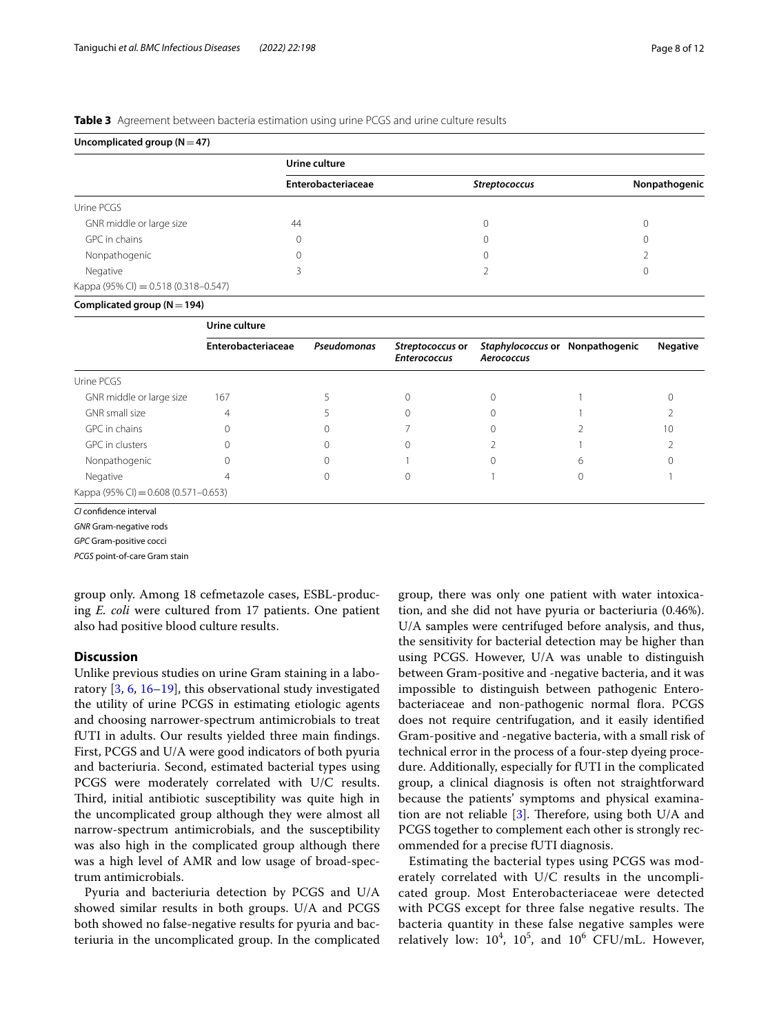## <span id="page-7-0"></span>**Table 3** Agreement between bacteria estimation using urine PCGS and urine culture results

**Uncomplicated group (N**=**47)**

|                                        | Urine culture      |                      |               |  |  |  |
|----------------------------------------|--------------------|----------------------|---------------|--|--|--|
|                                        | Enterobacteriaceae | <b>Streptococcus</b> | Nonpathogenic |  |  |  |
| Urine PCGS                             |                    |                      |               |  |  |  |
| GNR middle or large size               | 44                 |                      |               |  |  |  |
| GPC in chains                          | $\mathbf{0}$       |                      | $\Omega$      |  |  |  |
| Nonpathogenic                          | $\mathbf 0$        |                      |               |  |  |  |
| Negative                               |                    |                      | O             |  |  |  |
| Kappa (95% CI) = $0.518$ (0.318-0.547) |                    |                      |               |  |  |  |
| Complicated group ( $N = 194$ )        |                    |                      |               |  |  |  |

|                                        | Urine culture      |             |                                         |                                               |  |                 |  |  |  |
|----------------------------------------|--------------------|-------------|-----------------------------------------|-----------------------------------------------|--|-----------------|--|--|--|
|                                        | Enterobacteriaceae | Pseudomonas | Streptococcus or<br><b>Enterococcus</b> | Staphylococcus or Nonpathogenic<br>Aerococcus |  | <b>Negative</b> |  |  |  |
| Urine PCGS                             |                    |             |                                         |                                               |  |                 |  |  |  |
| GNR middle or large size               | 167                |             |                                         |                                               |  |                 |  |  |  |
| GNR small size                         | 4                  |             |                                         |                                               |  |                 |  |  |  |
| GPC in chains                          |                    |             |                                         |                                               |  | 10              |  |  |  |
| GPC in clusters                        | $\Omega$           |             |                                         |                                               |  |                 |  |  |  |
| Nonpathogenic                          | $\Omega$           |             |                                         |                                               |  |                 |  |  |  |
| Negative                               |                    |             |                                         |                                               |  |                 |  |  |  |
| Kappa (95% CI) = $0.608$ (0.571-0.653) |                    |             |                                         |                                               |  |                 |  |  |  |

*CI* confdence interval

*GNR* Gram-negative rods

*GPC* Gram-positive cocci

*PCGS* point-of-care Gram stain

group only. Among 18 cefmetazole cases, ESBL-producing *E. coli* were cultured from 17 patients. One patient also had positive blood culture results.

## **Discussion**

Unlike previous studies on urine Gram staining in a laboratory [[3,](#page-10-2) [6](#page-10-5), [16](#page-11-5)[–19\]](#page-11-6), this observational study investigated the utility of urine PCGS in estimating etiologic agents and choosing narrower-spectrum antimicrobials to treat fUTI in adults. Our results yielded three main fndings. First, PCGS and U/A were good indicators of both pyuria and bacteriuria. Second, estimated bacterial types using PCGS were moderately correlated with U/C results. Third, initial antibiotic susceptibility was quite high in the uncomplicated group although they were almost all narrow-spectrum antimicrobials, and the susceptibility was also high in the complicated group although there was a high level of AMR and low usage of broad-spectrum antimicrobials.

Pyuria and bacteriuria detection by PCGS and U/A showed similar results in both groups. U/A and PCGS both showed no false-negative results for pyuria and bacteriuria in the uncomplicated group. In the complicated

group, there was only one patient with water intoxication, and she did not have pyuria or bacteriuria (0.46%). U/A samples were centrifuged before analysis, and thus, the sensitivity for bacterial detection may be higher than using PCGS. However, U/A was unable to distinguish between Gram-positive and -negative bacteria, and it was impossible to distinguish between pathogenic Enterobacteriaceae and non-pathogenic normal flora. PCGS does not require centrifugation, and it easily identifed Gram-positive and -negative bacteria, with a small risk of technical error in the process of a four-step dyeing procedure. Additionally, especially for fUTI in the complicated group, a clinical diagnosis is often not straightforward because the patients' symptoms and physical examination are not reliable  $[3]$  $[3]$ . Therefore, using both U/A and PCGS together to complement each other is strongly recommended for a precise fUTI diagnosis.

Estimating the bacterial types using PCGS was moderately correlated with U/C results in the uncomplicated group. Most Enterobacteriaceae were detected with PCGS except for three false negative results. The bacteria quantity in these false negative samples were relatively low:  $10^4$ ,  $10^5$ , and  $10^6$  CFU/mL. However,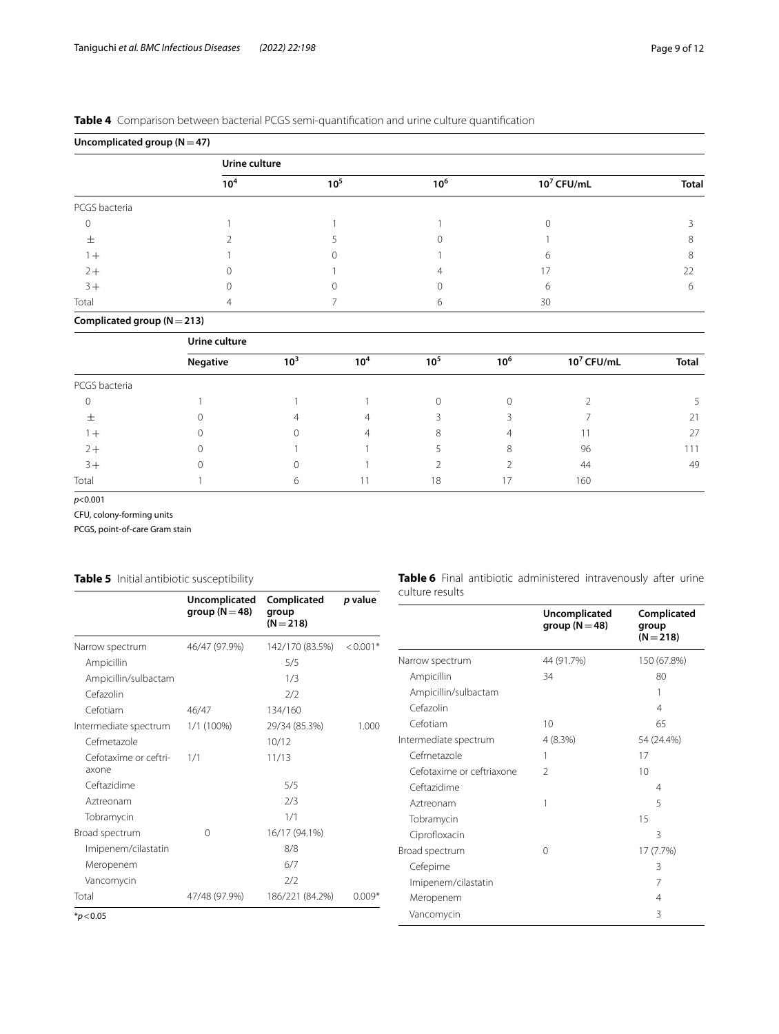## <span id="page-8-0"></span>**Table 4** Comparison between bacterial PCGS semi-quantifcation and urine culture quantifcation

| Uncomplicated group ( $N = 47$ ) |                 |                 |                 |               |              |  |  |  |  |
|----------------------------------|-----------------|-----------------|-----------------|---------------|--------------|--|--|--|--|
|                                  |                 | Urine culture   |                 |               |              |  |  |  |  |
|                                  | 10 <sup>4</sup> | 10 <sup>5</sup> | 10 <sup>6</sup> | $10^7$ CFU/mL | <b>Total</b> |  |  |  |  |
| PCGS bacteria                    |                 |                 |                 |               |              |  |  |  |  |
|                                  |                 |                 |                 |               |              |  |  |  |  |
| 土                                |                 |                 |                 |               |              |  |  |  |  |
| $1+$                             |                 |                 |                 |               | 8            |  |  |  |  |
| $2+$                             |                 |                 |                 |               | 22           |  |  |  |  |
| $3+$                             |                 |                 |                 | 6             | 6            |  |  |  |  |
| Total                            | 4               |                 |                 | 30            |              |  |  |  |  |

**Complicated group (N**=**213)**

|               | Urine culture |          |                 |          |                 |               |              |  |  |
|---------------|---------------|----------|-----------------|----------|-----------------|---------------|--------------|--|--|
|               | Negative      | $10^{3}$ | 10 <sup>4</sup> | $10^{5}$ | 10 <sup>6</sup> | $10^7$ CFU/mL | <b>Total</b> |  |  |
| PCGS bacteria |               |          |                 |          |                 |               |              |  |  |
| $\Omega$      |               |          |                 |          | 0               |               |              |  |  |
| 士             |               | 4        | 4               |          |                 |               | 21           |  |  |
| $+$           |               | 0        | 4               | 8        |                 |               | 27           |  |  |
| $2+$          |               |          |                 |          | 8               | 96            | 111          |  |  |
| $3+$          |               | 0        |                 |          |                 | 44            | 49           |  |  |
| Total         |               | 6        |                 | 18       |                 | 160           |              |  |  |

*p*<0.001

CFU, colony-forming units

PCGS, point-of-care Gram stain

# <span id="page-8-1"></span>**Table 5** Initial antibiotic susceptibility

<span id="page-8-2"></span>

| Table 5 Initial antibiotic susceptibility |                                     |                                     | Table 6 Final antibiotic administered intravenously after urine |                           |                                     |                      |
|-------------------------------------------|-------------------------------------|-------------------------------------|-----------------------------------------------------------------|---------------------------|-------------------------------------|----------------------|
|                                           | Uncomplicated<br>group ( $N = 48$ ) | Complicated<br>group<br>$(N = 218)$ | p value                                                         | culture results           | Uncomplicated<br>group ( $N = 48$ ) | Complicated<br>group |
| Narrow spectrum                           | 46/47 (97.9%)                       | 142/170 (83.5%)                     | $< 0.001*$                                                      |                           |                                     | $(N = 218)$          |
| Ampicillin                                |                                     | 5/5                                 |                                                                 | Narrow spectrum           | 44 (91.7%)                          | 150 (67.8%)          |
| Ampicillin/sulbactam                      |                                     | 1/3                                 |                                                                 | Ampicillin                | 34                                  | 80                   |
| Cefazolin                                 |                                     | 2/2                                 |                                                                 | Ampicillin/sulbactam      |                                     |                      |
| Cefotiam                                  | 46/47                               | 134/160                             |                                                                 | Cefazolin                 |                                     | 4                    |
| Intermediate spectrum                     | 1/1 (100%)                          | 29/34 (85.3%)                       | 1.000                                                           | Cefotiam                  | 10                                  | 65                   |
| Cefmetazole                               |                                     | 10/12                               |                                                                 | Intermediate spectrum     | 4(8.3%)                             | 54 (24.4%)           |
| Cefotaxime or ceftri-                     | 1/1                                 | 11/13                               |                                                                 | Cefmetazole               |                                     | 17                   |
| axone                                     |                                     |                                     |                                                                 | Cefotaxime or ceftriaxone | $\mathfrak{D}$                      | 10                   |
| Ceftazidime                               |                                     | 5/5                                 |                                                                 | Ceftazidime               |                                     | 4                    |
| Aztreonam                                 |                                     | 2/3                                 |                                                                 | Aztreonam                 |                                     | 5                    |
| Tobramycin                                |                                     | 1/1                                 |                                                                 | Tobramycin                |                                     | 15                   |
| Broad spectrum                            | $\mathbf{0}$                        | 16/17 (94.1%)                       |                                                                 | Ciprofloxacin             |                                     | 3                    |
| Imipenem/cilastatin                       |                                     | 8/8                                 |                                                                 | Broad spectrum            | 0                                   | 17 (7.7%)            |
| Meropenem                                 |                                     | 6/7                                 |                                                                 | Cefepime                  |                                     | 3                    |
| Vancomycin                                |                                     | 2/2                                 |                                                                 | Imipenem/cilastatin       |                                     |                      |
| Total                                     | 47/48 (97.9%)                       | 186/221 (84.2%)                     | $0.009*$                                                        | Meropenem                 |                                     | 4                    |
| $*_p$ < 0.05                              |                                     |                                     |                                                                 | Vancomycin                |                                     | 3                    |
|                                           |                                     |                                     |                                                                 |                           |                                     |                      |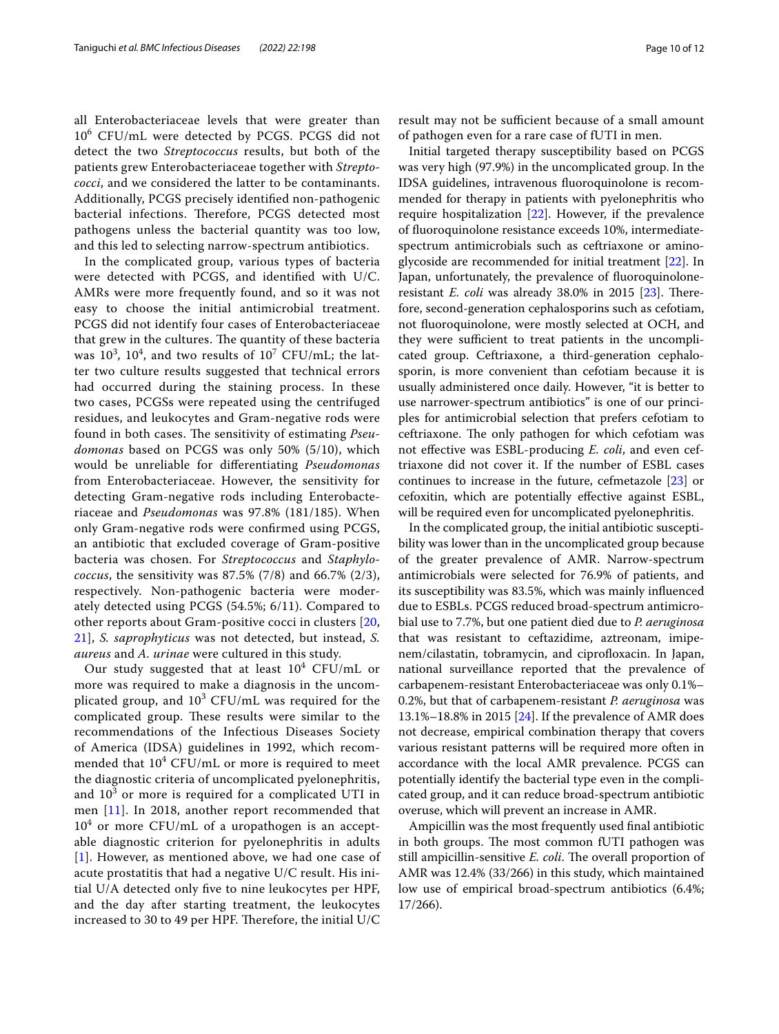all Enterobacteriaceae levels that were greater than 10<sup>6</sup> CFU/mL were detected by PCGS. PCGS did not detect the two *Streptococcus* results, but both of the patients grew Enterobacteriaceae together with *Streptococci*, and we considered the latter to be contaminants. Additionally, PCGS precisely identifed non-pathogenic bacterial infections. Therefore, PCGS detected most pathogens unless the bacterial quantity was too low, and this led to selecting narrow-spectrum antibiotics.

In the complicated group, various types of bacteria were detected with PCGS, and identifed with U/C. AMRs were more frequently found, and so it was not easy to choose the initial antimicrobial treatment. PCGS did not identify four cases of Enterobacteriaceae that grew in the cultures. The quantity of these bacteria was  $10^3$ ,  $10^4$ , and two results of  $10^7$  CFU/mL; the latter two culture results suggested that technical errors had occurred during the staining process. In these two cases, PCGSs were repeated using the centrifuged residues, and leukocytes and Gram-negative rods were found in both cases. The sensitivity of estimating *Pseudomonas* based on PCGS was only 50% (5/10), which would be unreliable for diferentiating *Pseudomonas* from Enterobacteriaceae. However, the sensitivity for detecting Gram-negative rods including Enterobacteriaceae and *Pseudomonas* was 97.8% (181/185). When only Gram-negative rods were confrmed using PCGS, an antibiotic that excluded coverage of Gram-positive bacteria was chosen. For *Streptococcus* and *Staphylococcus*, the sensitivity was 87.5% (7/8) and 66.7% (2/3), respectively. Non-pathogenic bacteria were moderately detected using PCGS (54.5%; 6/11). Compared to other reports about Gram-positive cocci in clusters [\[20](#page-11-7), [21\]](#page-11-8), *S. saprophyticus* was not detected, but instead, *S. aureus* and *A. urinae* were cultured in this study.

Our study suggested that at least  $10^4$  CFU/mL or more was required to make a diagnosis in the uncomplicated group, and  $10^3$  CFU/mL was required for the complicated group. These results were similar to the recommendations of the Infectious Diseases Society of America (IDSA) guidelines in 1992, which recommended that  $10^4$  CFU/mL or more is required to meet the diagnostic criteria of uncomplicated pyelonephritis, and  $10^3$  or more is required for a complicated UTI in men [[11\]](#page-11-0). In 2018, another report recommended that  $10^4$  or more CFU/mL of a uropathogen is an acceptable diagnostic criterion for pyelonephritis in adults [[1](#page-10-0)]. However, as mentioned above, we had one case of acute prostatitis that had a negative U/C result. His initial U/A detected only fve to nine leukocytes per HPF, and the day after starting treatment, the leukocytes increased to 30 to 49 per HPF. Therefore, the initial  $U/C$ 

result may not be sufficient because of a small amount of pathogen even for a rare case of fUTI in men.

Initial targeted therapy susceptibility based on PCGS was very high (97.9%) in the uncomplicated group. In the IDSA guidelines, intravenous fuoroquinolone is recommended for therapy in patients with pyelonephritis who require hospitalization [\[22](#page-11-9)]. However, if the prevalence of fuoroquinolone resistance exceeds 10%, intermediatespectrum antimicrobials such as ceftriaxone or aminoglycoside are recommended for initial treatment [[22](#page-11-9)]. In Japan, unfortunately, the prevalence of fuoroquinoloneresistant *E. coli* was already 38.0% in 2015 [\[23](#page-11-10)]. Therefore, second-generation cephalosporins such as cefotiam, not fuoroquinolone, were mostly selected at OCH, and they were sufficient to treat patients in the uncomplicated group. Ceftriaxone, a third-generation cephalosporin, is more convenient than cefotiam because it is usually administered once daily. However, "it is better to use narrower-spectrum antibiotics" is one of our principles for antimicrobial selection that prefers cefotiam to ceftriaxone. The only pathogen for which cefotiam was not efective was ESBL-producing *E. coli*, and even ceftriaxone did not cover it. If the number of ESBL cases continues to increase in the future, cefmetazole [[23\]](#page-11-10) or cefoxitin, which are potentially efective against ESBL, will be required even for uncomplicated pyelonephritis.

In the complicated group, the initial antibiotic susceptibility was lower than in the uncomplicated group because of the greater prevalence of AMR. Narrow-spectrum antimicrobials were selected for 76.9% of patients, and its susceptibility was 83.5%, which was mainly infuenced due to ESBLs. PCGS reduced broad-spectrum antimicrobial use to 7.7%, but one patient died due to *P. aeruginosa* that was resistant to ceftazidime, aztreonam, imipenem/cilastatin, tobramycin, and ciprofloxacin. In Japan, national surveillance reported that the prevalence of carbapenem-resistant Enterobacteriaceae was only 0.1%– 0.2%, but that of carbapenem-resistant *P. aeruginosa* was 13.1%–18.8% in 2015 [\[24](#page-11-11)]. If the prevalence of AMR does not decrease, empirical combination therapy that covers various resistant patterns will be required more often in accordance with the local AMR prevalence. PCGS can potentially identify the bacterial type even in the complicated group, and it can reduce broad-spectrum antibiotic overuse, which will prevent an increase in AMR.

Ampicillin was the most frequently used fnal antibiotic in both groups. The most common fUTI pathogen was still ampicillin-sensitive *E. coli*. The overall proportion of AMR was 12.4% (33/266) in this study, which maintained low use of empirical broad-spectrum antibiotics (6.4%; 17/266).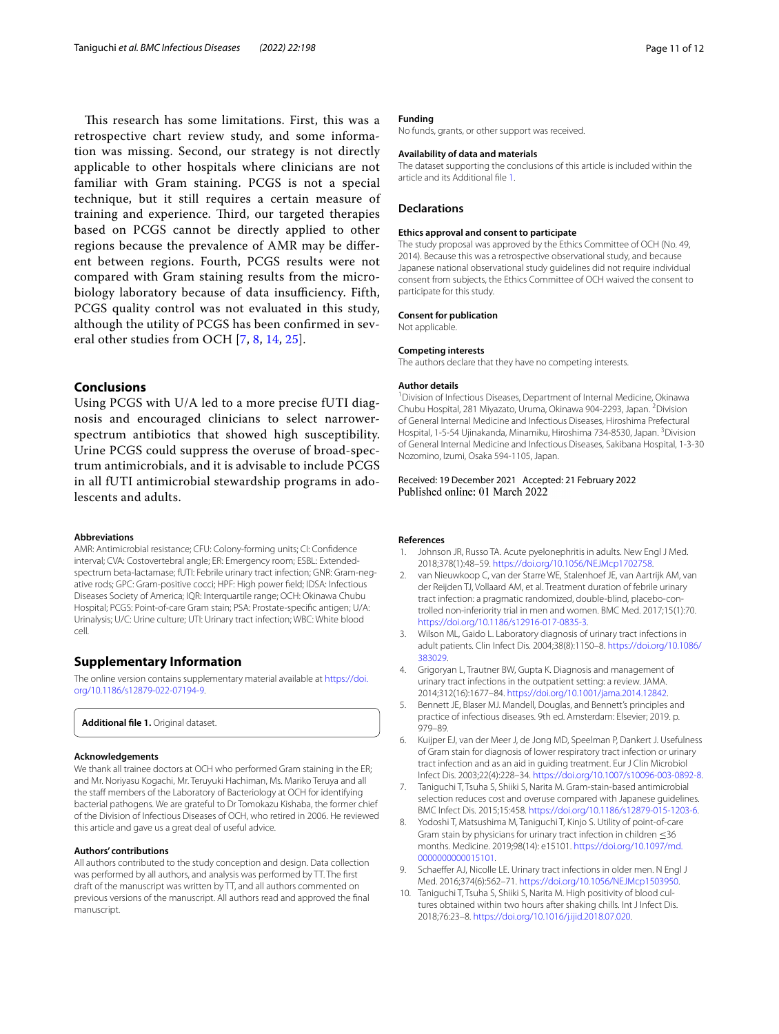This research has some limitations. First, this was a retrospective chart review study, and some information was missing. Second, our strategy is not directly applicable to other hospitals where clinicians are not familiar with Gram staining. PCGS is not a special technique, but it still requires a certain measure of training and experience. Third, our targeted therapies based on PCGS cannot be directly applied to other regions because the prevalence of AMR may be diferent between regions. Fourth, PCGS results were not compared with Gram staining results from the microbiology laboratory because of data insufficiency. Fifth, PCGS quality control was not evaluated in this study, although the utility of PCGS has been confrmed in several other studies from OCH [[7,](#page-10-6) [8,](#page-10-7) [14](#page-11-3), [25](#page-11-12)].

## **Conclusions**

Using PCGS with U/A led to a more precise fUTI diagnosis and encouraged clinicians to select narrowerspectrum antibiotics that showed high susceptibility. Urine PCGS could suppress the overuse of broad-spectrum antimicrobials, and it is advisable to include PCGS in all fUTI antimicrobial stewardship programs in adolescents and adults.

#### **Abbreviations**

AMR: Antimicrobial resistance; CFU: Colony-forming units; CI: Confdence interval; CVA: Costovertebral angle; ER: Emergency room; ESBL: Extendedspectrum beta-lactamase; fUTI: Febrile urinary tract infection; GNR: Gram-negative rods; GPC: Gram-positive cocci; HPF: High power feld; IDSA: Infectious Diseases Society of America; IQR: Interquartile range; OCH: Okinawa Chubu Hospital; PCGS: Point-of-care Gram stain; PSA: Prostate-specifc antigen; U/A: Urinalysis; U/C: Urine culture; UTI: Urinary tract infection; WBC: White blood cell.

## **Supplementary Information**

The online version contains supplementary material available at [https://doi.](https://doi.org/10.1186/s12879-022-07194-9) [org/10.1186/s12879-022-07194-9](https://doi.org/10.1186/s12879-022-07194-9).

<span id="page-10-10"></span>**Additional fle 1.** Original dataset.

#### **Acknowledgements**

We thank all trainee doctors at OCH who performed Gram staining in the ER; and Mr. Noriyasu Kogachi, Mr. Teruyuki Hachiman, Ms. Mariko Teruya and all the staff members of the Laboratory of Bacteriology at OCH for identifying bacterial pathogens. We are grateful to Dr Tomokazu Kishaba, the former chief of the Division of Infectious Diseases of OCH, who retired in 2006. He reviewed this article and gave us a great deal of useful advice.

#### **Authors' contributions**

All authors contributed to the study conception and design. Data collection was performed by all authors, and analysis was performed by TT. The frst draft of the manuscript was written by TT, and all authors commented on previous versions of the manuscript. All authors read and approved the fnal manuscript.

## **Funding**

No funds, grants, or other support was received.

## **Availability of data and materials**

The dataset supporting the conclusions of this article is included within the article and its Additional fle [1.](#page-10-10)

## **Declarations**

#### **Ethics approval and consent to participate**

The study proposal was approved by the Ethics Committee of OCH (No. 49, 2014). Because this was a retrospective observational study, and because Japanese national observational study guidelines did not require individual consent from subjects, the Ethics Committee of OCH waived the consent to participate for this study.

#### **Consent for publication**

Not applicable.

#### **Competing interests**

The authors declare that they have no competing interests.

#### **Author details**

<sup>1</sup> Division of Infectious Diseases, Department of Internal Medicine, Okinawa Chubu Hospital, 281 Miyazato, Uruma, Okinawa 904-2293, Japan. <sup>2</sup>Division of General Internal Medicine and Infectious Diseases, Hiroshima Prefectural Hospital, 1-5-54 Ujinakanda, Minamiku, Hiroshima 734-8530, Japan. <sup>3</sup>Division of General Internal Medicine and Infectious Diseases, Sakibana Hospital, 1-3-30 Nozomino, Izumi, Osaka 594-1105, Japan.

Received: 19 December 2021 Accepted: 21 February 2022 Published online: 01 March 2022

#### **References**

- <span id="page-10-0"></span>1. Johnson JR, Russo TA. Acute pyelonephritis in adults. New Engl J Med. 2018;378(1):48–59. [https://doi.org/10.1056/NEJMcp1702758.](https://doi.org/10.1056/NEJMcp1702758)
- <span id="page-10-1"></span>2. van Nieuwkoop C, van der Starre WE, Stalenhoef JE, van Aartrijk AM, van der Reijden TJ, Vollaard AM, et al. Treatment duration of febrile urinary tract infection: a pragmatic randomized, double-blind, placebo-controlled non-inferiority trial in men and women. BMC Med. 2017;15(1):70. [https://doi.org/10.1186/s12916-017-0835-3.](https://doi.org/10.1186/s12916-017-0835-3)
- <span id="page-10-2"></span>3. Wilson ML, Gaido L. Laboratory diagnosis of urinary tract infections in adult patients. Clin Infect Dis. 2004;38(8):1150–8. [https://doi.org/10.1086/](https://doi.org/10.1086/383029) [383029.](https://doi.org/10.1086/383029)
- <span id="page-10-3"></span>4. Grigoryan L, Trautner BW, Gupta K. Diagnosis and management of urinary tract infections in the outpatient setting: a review. JAMA. 2014;312(16):1677–84. [https://doi.org/10.1001/jama.2014.12842.](https://doi.org/10.1001/jama.2014.12842)
- <span id="page-10-4"></span>5. Bennett JE, Blaser MJ. Mandell, Douglas, and Bennett's principles and practice of infectious diseases. 9th ed. Amsterdam: Elsevier; 2019. p. 979–89.
- <span id="page-10-5"></span>6. Kuijper EJ, van der Meer J, de Jong MD, Speelman P, Dankert J. Usefulness of Gram stain for diagnosis of lower respiratory tract infection or urinary tract infection and as an aid in guiding treatment. Eur J Clin Microbiol Infect Dis. 2003;22(4):228–34. [https://doi.org/10.1007/s10096-003-0892-8.](https://doi.org/10.1007/s10096-003-0892-8)
- <span id="page-10-6"></span>7. Taniguchi T, Tsuha S, Shiiki S, Narita M. Gram-stain-based antimicrobial selection reduces cost and overuse compared with Japanese guidelines. BMC Infect Dis. 2015;15:458.<https://doi.org/10.1186/s12879-015-1203-6>.
- <span id="page-10-7"></span>8. Yodoshi T, Matsushima M, Taniguchi T, Kinjo S. Utility of point-of-care Gram stain by physicians for urinary tract infection in children ≤36 months. Medicine. 2019;98(14): e15101. [https://doi.org/10.1097/md.](https://doi.org/10.1097/md.0000000000015101) [0000000000015101](https://doi.org/10.1097/md.0000000000015101).
- <span id="page-10-8"></span>9. Schaeffer AJ, Nicolle LE. Urinary tract infections in older men. N Engl J Med. 2016;374(6):562–71. [https://doi.org/10.1056/NEJMcp1503950.](https://doi.org/10.1056/NEJMcp1503950)
- <span id="page-10-9"></span>10. Taniguchi T, Tsuha S, Shiiki S, Narita M. High positivity of blood cultures obtained within two hours after shaking chills. Int J Infect Dis. 2018;76:23–8. <https://doi.org/10.1016/j.ijid.2018.07.020>.